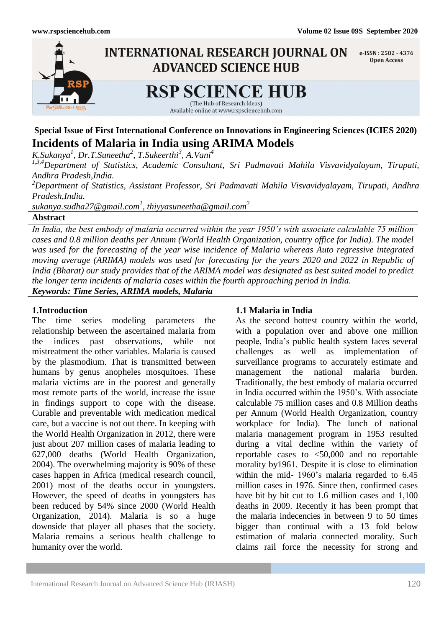

# **Special Issue of First International Conference on Innovations in Engineering Sciences (ICIES 2020) Incidents of Malaria in India using ARIMA Models**

*K.Sukanya<sup>1</sup> , Dr.T.Suneetha<sup>2</sup> , T.Sukeerthi<sup>3</sup> , A.Vani<sup>4</sup>*

*1,3,4Department of Statistics, Academic Consultant, Sri Padmavati Mahila Visvavidyalayam, Tirupati, Andhra Pradesh,India.*

*<sup>2</sup>Department of Statistics, Assistant Professor, Sri Padmavati Mahila Visvavidyalayam, Tirupati, Andhra Pradesh,India.*

*sukanya.sudha27@gmail.com<sup>1</sup> , thiyyasuneetha@gmail.com<sup>2</sup>*

**Abstract**

*In India, the best embody of malaria occurred within the year 1950's with associate calculable 75 million cases and 0.8 million deaths per Annum (World Health Organization, country office for India). The model was used for the forecasting of the year wise incidence of Malaria whereas Auto regressive integrated moving average (ARIMA) models was used for forecasting for the years 2020 and 2022 in Republic of India (Bharat) our study provides that of the ARIMA model was designated as best suited model to predict the longer term incidents of malaria cases within the fourth approaching period in India. Keywords: Time Series, ARIMA models, Malaria*

#### **1.Introduction**

The time series modeling parameters the relationship between the ascertained malaria from the indices past observations, while not mistreatment the other variables. Malaria is caused by the plasmodium. That is transmitted between humans by genus anopheles mosquitoes. These malaria victims are in the poorest and generally most remote parts of the world, increase the issue in findings support to cope with the disease. Curable and preventable with medication medical care, but a vaccine is not out there. In keeping with the World Health Organization in 2012, there were just about 207 million cases of malaria leading to 627,000 deaths (World Health Organization, 2004). The overwhelming majority is 90% of these cases happen in Africa (medical research council, 2001) most of the deaths occur in youngsters. However, the speed of deaths in youngsters has been reduced by 54% since 2000 (World Health Organization, 2014). Malaria is so a huge downside that player all phases that the society. Malaria remains a serious health challenge to humanity over the world.

#### **1.1 Malaria in India**

As the second hottest country within the world, with a population over and above one million people, India's public health system faces several challenges as well as implementation of surveillance programs to accurately estimate and management the national malaria burden. Traditionally, the best embody of malaria occurred in India occurred within the 1950's. With associate calculable 75 million cases and 0.8 Million deaths per Annum (World Health Organization, country workplace for India). The lunch of national malaria management program in 1953 resulted during a vital decline within the variety of reportable cases to <50,000 and no reportable morality by1961. Despite it is close to elimination within the mid- 1960's malaria regarded to 6.45 million cases in 1976. Since then, confirmed cases have bit by bit cut to 1.6 million cases and 1,100 deaths in 2009. Recently it has been prompt that the malaria indecencies in between 9 to 50 times bigger than continual with a 13 fold below estimation of malaria connected morality. Such claims rail force the necessity for strong and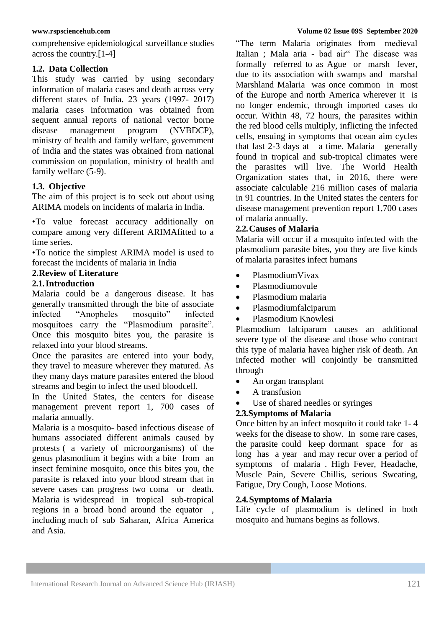comprehensive epidemiological surveillance studies across the country.[1-4]

#### **1.2. Data Collection**

This study was carried by using secondary information of malaria cases and death across very different states of India. 23 years (1997- 2017) malaria cases information was obtained from sequent annual reports of national vector borne disease management program (NVBDCP), ministry of health and family welfare, government of India and the states was obtained from national commission on population, ministry of health and family welfare (5-9).

#### **1.3. Objective**

The aim of this project is to seek out about using ARIMA models on incidents of malaria in India.

•To value forecast accuracy additionally on compare among very different ARIMAfitted to a time series.

•To notice the simplest ARIMA model is used to forecast the incidents of malaria in India

#### **2.Review of Literature**

#### **2.1.Introduction**

Malaria could be a dangerous disease. It has generally transmitted through the bite of associate infected "Anopheles mosquito" infected mosquitoes carry the "Plasmodium parasite". Once this mosquito bites you, the parasite is relaxed into your blood streams.

Once the parasites are entered into your body, they travel to measure wherever they matured. As they many days mature parasites entered the blood streams and begin to infect the used bloodcell.

In the United States, the centers for disease management prevent report 1, 700 cases of malaria annually.

Malaria is a mosquito- based infectious disease of humans associated different animals caused by protests ( a variety of microorganisms) of the genus plasmodium it begins with a bite from an insect feminine mosquito, once this bites you, the parasite is relaxed into your blood stream that in severe cases can progress two coma or death. Malaria is widespread in tropical sub-tropical regions in a broad bond around the equator , including much of sub Saharan, Africa America and Asia.

―The term Malaria originates from medieval Italian ; Mala aria - bad air" The disease was formally referred to as Ague or marsh fever, due to its association with swamps and marshal Marshland Malaria was once common in most of the Europe and north America wherever it is no longer endemic, through imported cases do occur. Within 48, 72 hours, the parasites within the red blood cells multiply, inflicting the infected cells, ensuing in symptoms that ocean aim cycles that last 2-3 days at a time. Malaria generally found in tropical and sub-tropical climates were the parasites will live. The World Health Organization states that, in 2016, there were associate calculable 216 million cases of malaria in 91 countries. In the United states the centers for disease management prevention report 1,700 cases of malaria annually.

#### **2.2.Causes of Malaria**

Malaria will occur if a mosquito infected with the plasmodium parasite bites, you they are five kinds of malaria parasites infect humans

- PlasmodiumVivax
- Plasmodiumovule
- Plasmodium malaria
- Plasmodiumfalciparum
- Plasmodium Knowlesi

Plasmodium falciparum causes an additional severe type of the disease and those who contract this type of malaria havea higher risk of death. An infected mother will conjointly be transmitted through

- An organ transplant
- A transfusion
- Use of shared needles or syringes

# **2.3.Symptoms of Malaria**

Once bitten by an infect mosquito it could take 1- 4 weeks for the disease to show. In some rare cases, the parasite could keep dormant space for as long has a year and may recur over a period of symptoms of malaria . High Fever, Headache, Muscle Pain, Severe Chillis, serious Sweating, Fatigue, Dry Cough, Loose Motions.

#### **2.4.Symptoms of Malaria**

Life cycle of plasmodium is defined in both mosquito and humans begins as follows.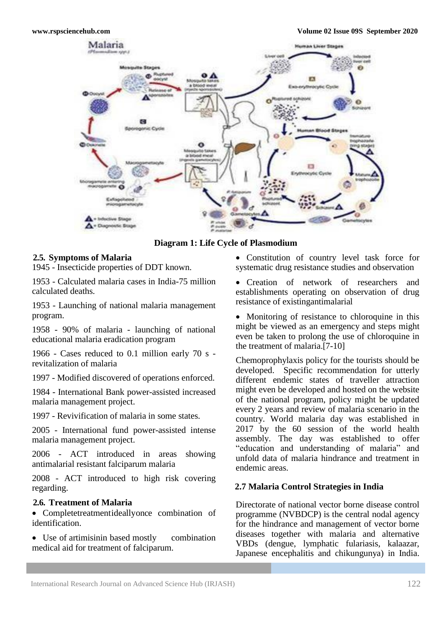

**Diagram 1: Life Cycle of Plasmodium**

#### **2.5. Symptoms of Malaria**

1945 - Insecticide properties of DDT known.

1953 - Calculated malaria cases in India-75 million calculated deaths.

1953 - Launching of national malaria management program.

1958 - 90% of malaria - launching of national educational malaria eradication program

1966 - Cases reduced to 0.1 million early 70 s revitalization of malaria

1997 - Modified discovered of operations enforced.

1984 - International Bank power-assisted increased malaria management project.

1997 - Revivification of malaria in some states.

2005 - International fund power-assisted intense malaria management project.

2006 - ACT introduced in areas showing antimalarial resistant falciparum malaria

2008 - ACT introduced to high risk covering regarding.

#### **2.6. Treatment of Malaria**

 Completetreatmentideallyonce combination of identification.

• Use of artimisinin based mostly combination medical aid for treatment of falciparum.

 Constitution of country level task force for systematic drug resistance studies and observation

• Creation of network of researchers and establishments operating on observation of drug resistance of existingantimalarial

• Monitoring of resistance to chloroquine in this might be viewed as an emergency and steps might even be taken to prolong the use of chloroquine in the treatment of malaria.[7-10]

Chemoprophylaxis policy for the tourists should be developed. Specific recommendation for utterly different endemic states of traveller attraction might even be developed and hosted on the website of the national program, policy might be updated every 2 years and review of malaria scenario in the country. World malaria day was established in 2017 by the 60 session of the world health assembly. The day was established to offer "education and understanding of malaria" and unfold data of malaria hindrance and treatment in endemic areas.

# **2.7 Malaria Control Strategies in India**

Directorate of national vector borne disease control programme (NVBDCP) is the central nodal agency for the hindrance and management of vector borne diseases together with malaria and alternative VBDs (dengue, lymphatic fulariasis, kalaazar, Japanese encephalitis and chikungunya) in India.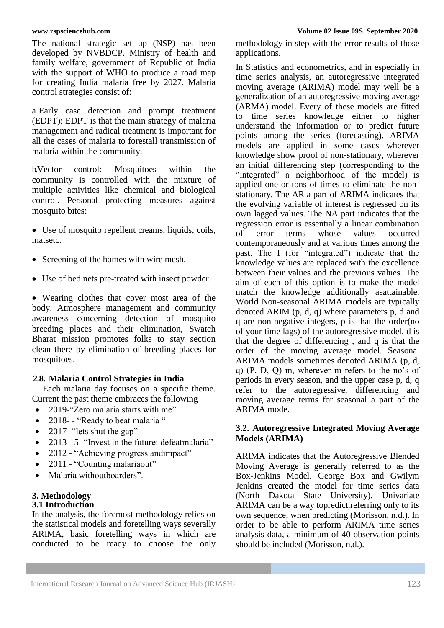The national strategic set up (NSP) has been developed by NVBDCP. Ministry of health and family welfare, government of Republic of India with the support of WHO to produce a road map for creating India malaria free by 2027. Malaria control strategies consist of:

a. Early case detection and prompt treatment (EDPT): EDPT is that the main strategy of malaria management and radical treatment is important for all the cases of malaria to forestall transmission of malaria within the community.

b.Vector control: Mosquitoes within the community is controlled with the mixture of multiple activities like chemical and biological control. Personal protecting measures against mosquito bites:

- Use of mosquito repellent creams, liquids, coils, matsetc.
- Screening of the homes with wire mesh.
- Use of bed nets pre-treated with insect powder.

 Wearing clothes that cover most area of the body. Atmosphere management and community awareness concerning detection of mosquito breeding places and their elimination, Swatch Bharat mission promotes folks to stay section clean there by elimination of breeding places for mosquitoes.

#### **2.8. Malaria Control Strategies in India**

Each malaria day focuses on a specific theme. Current the past theme embraces the following

- 2019-"Zero malaria starts with me"
- 2018- "Ready to beat malaria "
- $\bullet$  2017- "lets shut the gap"
- 2013-15 "Invest in the future: defeatmalaria"
- 2012 "Achieving progress and impact"
- 2011 "Counting malariaout"
- Malaria withoutboarders".

#### **3. Methodology 3.1 Introduction**

In the analysis, the foremost methodology relies on the statistical models and foretelling ways severally ARIMA, basic foretelling ways in which are conducted to be ready to choose the only

methodology in step with the error results of those applications.

In Statistics and econometrics, and in especially in time series analysis, an autoregressive integrated moving average (ARIMA) model may well be a generalization of an autoregressive moving average (ARMA) model. Every of these models are fitted to time series knowledge either to higher understand the information or to predict future points among the series (forecasting). ARIMA models are applied in some cases wherever knowledge show proof of non-stationary, wherever an initial differencing step (corresponding to the "integrated" a neighborhood of the model) is applied one or tons of times to eliminate the nonstationary. The AR a part of ARIMA indicates that the evolving variable of interest is regressed on its own lagged values. The NA part indicates that the regression error is essentially a linear combination<br>of error terms whose values occurred of error terms whose values occurred contemporaneously and at various times among the past. The I (for "integrated") indicate that the knowledge values are replaced with the excellence between their values and the previous values. The aim of each of this option is to make the model match the knowledge additionally asattainable. World Non-seasonal ARIMA models are typically denoted ARIM (p, d, q) where parameters p, d and q are non-negative integers, p is that the order(no of your time lags) of the autoregressive model, d is that the degree of differencing , and q is that the order of the moving average model. Seasonal ARIMA models sometimes denoted ARIMA (p, d, q) (P, D, Q) m, wherever m refers to the no's of periods in every season, and the upper case p, d, q refer to the autoregressive, differencing and moving average terms for seasonal a part of the ARIMA mode.

#### **3.2. Autoregressive Integrated Moving Average Models (ARIMA)**

ARIMA indicates that the Autoregressive Blended Moving Average is generally referred to as the Box-Jenkins Model. George Box and Gwilym Jenkins created the model for time series data (North Dakota State University). Univariate ARIMA can be a way topredict, referring only to its own sequence, when predicting (Morisson, n.d.). In order to be able to perform ARIMA time series analysis data, a minimum of 40 observation points should be included (Morisson, n.d.).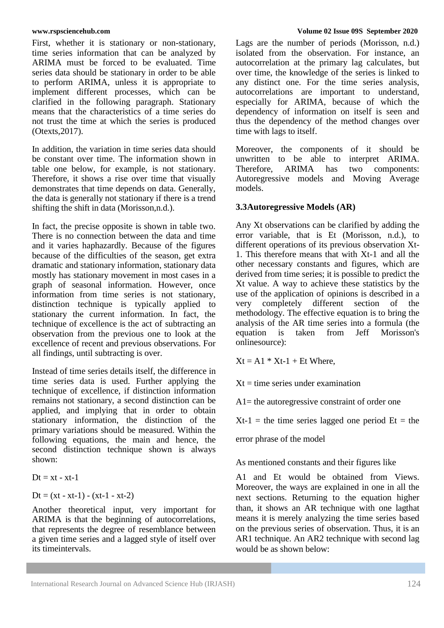First, whether it is stationary or non-stationary, time series information that can be analyzed by ARIMA must be forced to be evaluated. Time series data should be stationary in order to be able to perform ARIMA, unless it is appropriate to implement different processes, which can be clarified in the following paragraph. Stationary means that the characteristics of a time series do not trust the time at which the series is produced (Otexts,2017).

In addition, the variation in time series data should be constant over time. The information shown in table one below, for example, is not stationary. Therefore, it shows a rise over time that visually demonstrates that time depends on data. Generally, the data is generally not stationary if there is a trend shifting the shift in data (Morisson,n.d.).

In fact, the precise opposite is shown in table two. There is no connection between the data and time and it varies haphazardly. Because of the figures because of the difficulties of the season, get extra dramatic and stationary information, stationary data mostly has stationary movement in most cases in a graph of seasonal information. However, once information from time series is not stationary, distinction technique is typically applied to stationary the current information. In fact, the technique of excellence is the act of subtracting an observation from the previous one to look at the excellence of recent and previous observations. For all findings, until subtracting is over.

Instead of time series details itself, the difference in time series data is used. Further applying the technique of excellence, if distinction information remains not stationary, a second distinction can be applied, and implying that in order to obtain stationary information, the distinction of the primary variations should be measured. Within the following equations, the main and hence, the second distinction technique shown is always shown:

 $Dt = xt - xt-1$ 

$$
Dt = (xt - xt - 1) - (xt - 1 - xt - 2)
$$

Another theoretical input, very important for ARIMA is that the beginning of autocorrelations, that represents the degree of resemblance between a given time series and a lagged style of itself over its timeintervals.

#### **www.rspsciencehub.com Volume 02 Issue 09S September 2020**

Lags are the number of periods (Morisson, n.d.) isolated from the observation. For instance, an autocorrelation at the primary lag calculates, but over time, the knowledge of the series is linked to any distinct one. For the time series analysis, autocorrelations are important to understand, especially for ARIMA, because of which the dependency of information on itself is seen and thus the dependency of the method changes over time with lags to itself.

Moreover, the components of it should be unwritten to be able to interpret ARIMA. unwritten to be able to Therefore, ARIMA has two components: Autoregressive models and Moving Average models.

# **3.3Autoregressive Models (AR)**

Any Xt observations can be clarified by adding the error variable, that is Et (Morisson, n.d.), to different operations of its previous observation Xt-1. This therefore means that with Xt-1 and all the other necessary constants and figures, which are derived from time series; it is possible to predict the Xt value. A way to achieve these statistics by the use of the application of opinions is described in a very completely different section of the methodology. The effective equation is to bring the analysis of the AR time series into a formula (the equation is taken from Jeff Morisson's onlinesource):

 $Xt = A1 * Xt-1 + Et Where,$ 

 $Xt =$  time series under examination

A1= the autoregressive constraint of order one

 $Xt-1$  = the time series lagged one period  $Et$  = the

error phrase of the model

As mentioned constants and their figures like

A1 and Et would be obtained from Views. Moreover, the ways are explained in one in all the next sections. Returning to the equation higher than, it shows an AR technique with one lagthat means it is merely analyzing the time series based on the previous series of observation. Thus, it is an AR1 technique. An AR2 technique with second lag would be as shown below: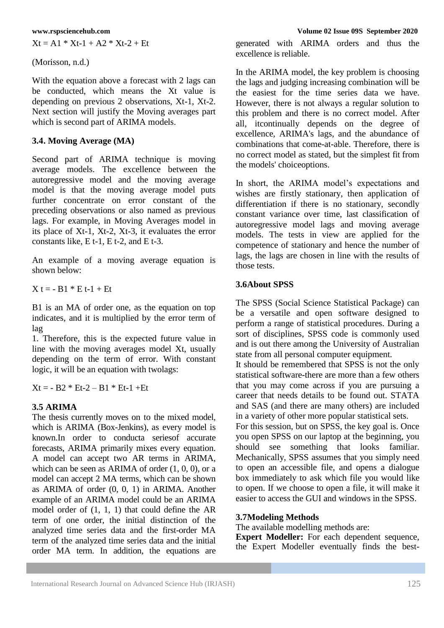$Xt = A1 * Xt-1 + A2 * Xt-2 + Et$ 

(Morisson, n.d.)

With the equation above a forecast with 2 lags can be conducted, which means the Xt value is depending on previous 2 observations, Xt-1, Xt-2. Next section will justify the Moving averages part which is second part of ARIMA models.

# **3.4. Moving Average (MA)**

Second part of ARIMA technique is moving average models. The excellence between the autoregressive model and the moving average model is that the moving average model puts further concentrate on error constant of the preceding observations or also named as previous lags. For example, in Moving Averages model in its place of Xt-1, Xt-2, Xt-3, it evaluates the error constants like, E t-1, E t-2, and E t-3.

An example of a moving average equation is shown below:

 $X t = - B1 * E t - 1 + Et$ 

B1 is an MA of order one, as the equation on top indicates, and it is multiplied by the error term of lag

1. Therefore, this is the expected future value in line with the moving averages model Xt, usually depending on the term of error. With constant logic, it will be an equation with twolags:

 $Xt = -B2 * Et-2 - B1 * Et-1 + Et$ 

# **3.5 ARIMA**

The thesis currently moves on to the mixed model, which is ARIMA (Box-Jenkins), as every model is known.In order to conducta seriesof accurate forecasts, ARIMA primarily mixes every equation. A model can accept two AR terms in ARIMA, which can be seen as ARIMA of order  $(1, 0, 0)$ , or a model can accept 2 MA terms, which can be shown as ARIMA of order (0, 0, 1) in ARIMA. Another example of an ARIMA model could be an ARIMA model order of (1, 1, 1) that could define the AR term of one order, the initial distinction of the analyzed time series data and the first-order MA term of the analyzed time series data and the initial order MA term. In addition, the equations are

generated with ARIMA orders and thus the excellence is reliable.

In the ARIMA model, the key problem is choosing the lags and judging increasing combination will be the easiest for the time series data we have. However, there is not always a regular solution to this problem and there is no correct model. After all, itcontinually depends on the degree of excellence, ARIMA's lags, and the abundance of combinations that come-at-able. Therefore, there is no correct model as stated, but the simplest fit from the models' choiceoptions.

In short, the ARIMA model's expectations and wishes are firstly stationary, then application of differentiation if there is no stationary, secondly constant variance over time, last classification of autoregressive model lags and moving average models. The tests in view are applied for the competence of stationary and hence the number of lags, the lags are chosen in line with the results of those tests.

#### **3.6About SPSS**

The SPSS (Social Science Statistical Package) can be a versatile and open software designed to perform a range of statistical procedures. During a sort of disciplines, SPSS code is commonly used and is out there among the University of Australian state from all personal computer equipment.

It should be remembered that SPSS is not the only statistical software-there are more than a few others that you may come across if you are pursuing a career that needs details to be found out. STATA and SAS (and there are many others) are included in a variety of other more popular statistical sets.

For this session, but on SPSS, the key goal is. Once you open SPSS on our laptop at the beginning, you should see something that looks familiar. Mechanically, SPSS assumes that you simply need to open an accessible file, and opens a dialogue box immediately to ask which file you would like to open. If we choose to open a file, it will make it easier to access the GUI and windows in the SPSS.

#### **3.7Modeling Methods**

The available modelling methods are:

**Expert Modeller:** For each dependent sequence, the Expert Modeller eventually finds the best-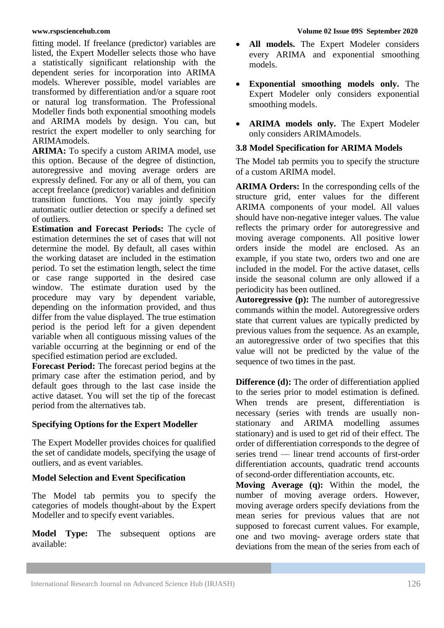fitting model. If freelance (predictor) variables are listed, the Expert Modeller selects those who have a statistically significant relationship with the dependent series for incorporation into ARIMA models. Wherever possible, model variables are transformed by differentiation and/or a square root or natural log transformation. The Professional Modeller finds both exponential smoothing models and ARIMA models by design. You can, but restrict the expert modeller to only searching for ARIMAmodels.

**ARIMA:** To specify a custom ARIMA model, use this option. Because of the degree of distinction, autoregressive and moving average orders are expressly defined. For any or all of them, you can accept freelance (predictor) variables and definition transition functions. You may jointly specify automatic outlier detection or specify a defined set of outliers.

**Estimation and Forecast Periods:** The cycle of estimation determines the set of cases that will not determine the model. By default, all cases within the working dataset are included in the estimation period. To set the estimation length, select the time or case range supported in the desired case window. The estimate duration used by the procedure may vary by dependent variable, depending on the information provided, and thus differ from the value displayed. The true estimation period is the period left for a given dependent variable when all contiguous missing values of the variable occurring at the beginning or end of the specified estimation period are excluded.

**Forecast Period:** The forecast period begins at the primary case after the estimation period, and by default goes through to the last case inside the active dataset. You will set the tip of the forecast period from the alternatives tab.

# **Specifying Options for the Expert Modeller**

The Expert Modeller provides choices for qualified the set of candidate models, specifying the usage of outliers, and as event variables.

# **Model Selection and Event Specification**

The Model tab permits you to specify the categories of models thought-about by the Expert Modeller and to specify event variables.

**Model Type:** The subsequent options are available:

- **All models.** The Expert Modeler considers every ARIMA and exponential smoothing models.
- **Exponential smoothing models only.** The Expert Modeler only considers exponential smoothing models.
- **ARIMA models only.** The Expert Modeler only considers ARIMAmodels.

# **3.8 Model Specification for ARIMA Models**

The Model tab permits you to specify the structure of a custom ARIMA model.

**ARIMA Orders:** In the corresponding cells of the structure grid, enter values for the different ARIMA components of your model. All values should have non-negative integer values. The value reflects the primary order for autoregressive and moving average components. All positive lower orders inside the model are enclosed. As an example, if you state two, orders two and one are included in the model. For the active dataset, cells inside the seasonal column are only allowed if a periodicity has been outlined.

**Autoregressive (p):** The number of autoregressive commands within the model. Autoregressive orders state that current values are typically predicted by previous values from the sequence. As an example, an autoregressive order of two specifies that this value will not be predicted by the value of the sequence of two times in the past.

**Difference (d):** The order of differentiation applied to the series prior to model estimation is defined. When trends are present, differentiation is necessary (series with trends are usually nonstationary and ARIMA modelling assumes stationary) and is used to get rid of their effect. The order of differentiation corresponds to the degree of series trend — linear trend accounts of first-order differentiation accounts, quadratic trend accounts of second-order differentiation accounts, etc.

**Moving Average (q):** Within the model, the number of moving average orders. However, moving average orders specify deviations from the mean series for previous values that are not supposed to forecast current values. For example, one and two moving- average orders state that deviations from the mean of the series from each of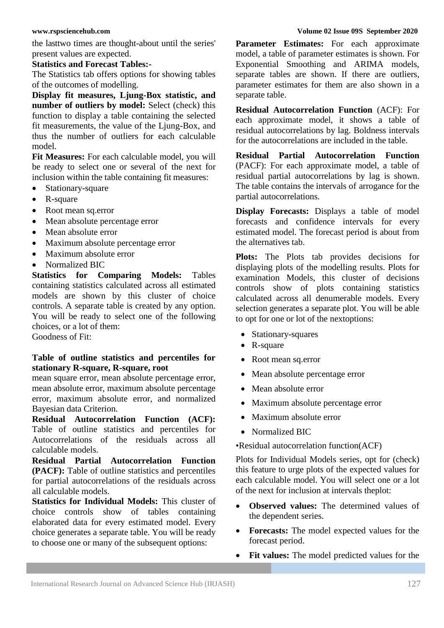the lasttwo times are thought-about until the series' present values are expected.

#### **Statistics and Forecast Tables:-**

The Statistics tab offers options for showing tables of the outcomes of modelling.

**Display fit measures, Ljung-Box statistic, and number of outliers by model:** Select (check) this function to display a table containing the selected fit measurements, the value of the Ljung-Box, and thus the number of outliers for each calculable model.

**Fit Measures:** For each calculable model, you will be ready to select one or several of the next for inclusion within the table containing fit measures:

- Stationary-square
- R-square
- Root mean sq.error
- Mean absolute percentage error
- Mean absolute error
- Maximum absolute percentage error
- Maximum absolute error
- Normalized BIC

**Statistics for Comparing Models:** Tables containing statistics calculated across all estimated models are shown by this cluster of choice controls. A separate table is created by any option. You will be ready to select one of the following choices, or a lot of them:

Goodness of Fit:

#### **Table of outline statistics and percentiles for stationary R-square, R-square, root**

mean square error, mean absolute percentage error, mean absolute error, maximum absolute percentage error, maximum absolute error, and normalized Bayesian data Criterion.

**Residual Autocorrelation Function (ACF):**  Table of outline statistics and percentiles for Autocorrelations of the residuals across all calculable models.

**Residual Partial Autocorrelation Function (PACF):** Table of outline statistics and percentiles for partial autocorrelations of the residuals across all calculable models.

**Statistics for Individual Models:** This cluster of choice controls show of tables containing elaborated data for every estimated model. Every choice generates a separate table. You will be ready to choose one or many of the subsequent options:

#### **www.rspsciencehub.com Volume 02 Issue 09S September 2020**

**Parameter Estimates:** For each approximate model, a table of parameter estimates is shown. For Exponential Smoothing and ARIMA models, separate tables are shown. If there are outliers, parameter estimates for them are also shown in a separate table.

**Residual Autocorrelation Function** (ACF): For each approximate model, it shows a table of residual autocorrelations by lag. Boldness intervals for the autocorrelations are included in the table.

**Residual Partial Autocorrelation Function**  (PACF): For each approximate model, a table of residual partial autocorrelations by lag is shown. The table contains the intervals of arrogance for the partial autocorrelations.

**Display Forecasts:** Displays a table of model forecasts and confidence intervals for every estimated model. The forecast period is about from the alternatives tab.

**Plots:** The Plots tab provides decisions for displaying plots of the modelling results. Plots for examination Models, this cluster of decisions controls show of plots containing statistics calculated across all denumerable models. Every selection generates a separate plot. You will be able to opt for one or lot of the nextoptions:

- Stationary-squares
- R-square
- Root mean sq.error
- Mean absolute percentage error
- Mean absolute error
- Maximum absolute percentage error
- Maximum absolute error
- Normalized BIC

•Residual autocorrelation function(ACF)

Plots for Individual Models series, opt for (check) this feature to urge plots of the expected values for each calculable model. You will select one or a lot of the next for inclusion at intervals theplot:

- **Observed values:** The determined values of the dependent series.
- **Forecasts:** The model expected values for the forecast period.
- **Fit values:** The model predicted values for the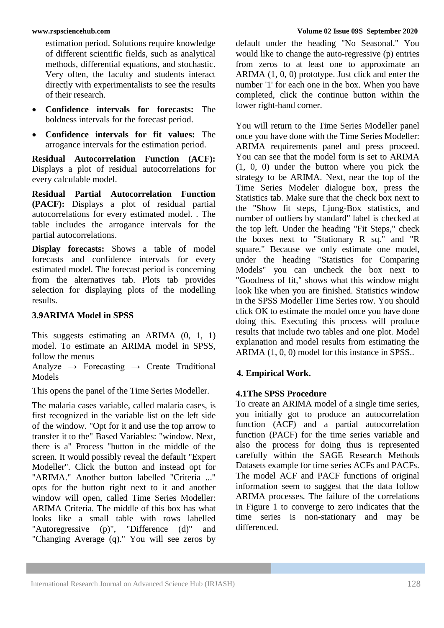estimation period. Solutions require knowledge of different scientific fields, such as analytical methods, differential equations, and stochastic. Very often, the faculty and students interact directly with experimentalists to see the results of their research.

- **Confidence intervals for forecasts:** The boldness intervals for the forecast period.
- **Confidence intervals for fit values:** The arrogance intervals for the estimation period.

**Residual Autocorrelation Function (ACF):**  Displays a plot of residual autocorrelations for every calculable model.

**Residual Partial Autocorrelation Function (PACF):** Displays a plot of residual partial autocorrelations for every estimated model. . The table includes the arrogance intervals for the partial autocorrelations.

**Display forecasts:** Shows a table of model forecasts and confidence intervals for every estimated model. The forecast period is concerning from the alternatives tab. Plots tab provides selection for displaying plots of the modelling results.

#### **3.9ARIMA Model in SPSS**

This suggests estimating an ARIMA (0, 1, 1) model. To estimate an ARIMA model in SPSS, follow the menus

Analyze  $\rightarrow$  Forecasting  $\rightarrow$  Create Traditional Models

This opens the panel of the Time Series Modeller.

The malaria cases variable, called malaria cases, is first recognized in the variable list on the left side of the window. "Opt for it and use the top arrow to transfer it to the" Based Variables: "window. Next, there is a" Process "button in the middle of the screen. It would possibly reveal the default "Expert Modeller". Click the button and instead opt for "ARIMA." Another button labelled "Criteria ..." opts for the button right next to it and another window will open, called Time Series Modeller: ARIMA Criteria. The middle of this box has what looks like a small table with rows labelled "Autoregressive (p)", "Difference (d)" and "Changing Average (q)." You will see zeros by

default under the heading "No Seasonal." You would like to change the auto-regressive (p) entries from zeros to at least one to approximate an ARIMA (1, 0, 0) prototype. Just click and enter the number '1' for each one in the box. When you have completed, click the continue button within the lower right-hand corner.

You will return to the Time Series Modeller panel once you have done with the Time Series Modeller: ARIMA requirements panel and press proceed. You can see that the model form is set to ARIMA (1, 0, 0) under the button where you pick the strategy to be ARIMA. Next, near the top of the Time Series Modeler dialogue box, press the Statistics tab. Make sure that the check box next to the "Show fit steps, Ljung-Box statistics, and number of outliers by standard" label is checked at the top left. Under the heading "Fit Steps," check the boxes next to "Stationary R sq." and "R square." Because we only estimate one model, under the heading "Statistics for Comparing Models" you can uncheck the box next to "Goodness of fit," shows what this window might look like when you are finished. Statistics window in the SPSS Modeller Time Series row. You should click OK to estimate the model once you have done doing this. Executing this process will produce results that include two tables and one plot. Model explanation and model results from estimating the ARIMA (1, 0, 0) model for this instance in SPSS..

# **4. Empirical Work.**

# **4.1The SPSS Procedure**

To create an ARIMA model of a single time series, you initially got to produce an autocorrelation function (ACF) and a partial autocorrelation function (PACF) for the time series variable and also the process for doing thus is represented carefully within the SAGE Research Methods Datasets example for time series ACFs and PACFs. The model ACF and PACF functions of original information seem to suggest that the data follow ARIMA processes. The failure of the correlations in Figure 1 to converge to zero indicates that the time series is non-stationary and may be differenced.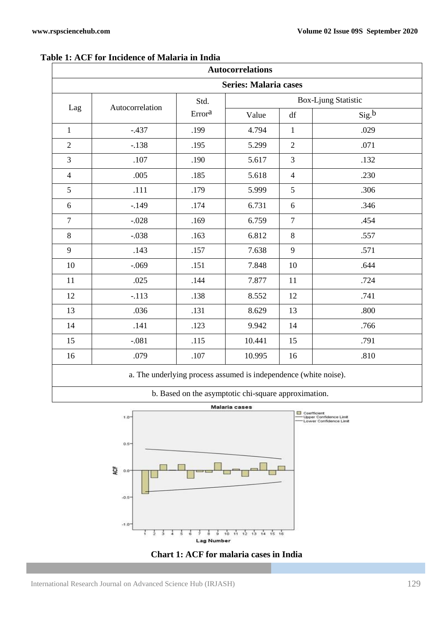| <b>Autocorrelations</b>      |                 |                |                     |                |       |
|------------------------------|-----------------|----------------|---------------------|----------------|-------|
| <b>Series: Malaria cases</b> |                 |                |                     |                |       |
| Lag                          | Autocorrelation | Std.<br>Errora | Box-Ljung Statistic |                |       |
|                              |                 |                | Value               | df             | Sig.b |
| $\mathbf{1}$                 | $-.437$         | .199           | 4.794               | $\mathbf{1}$   | .029  |
| $\overline{2}$               | $-.138$         | .195           | 5.299               | $\overline{2}$ | .071  |
| 3                            | $.107\,$        | .190           | 5.617               | 3              | .132  |
| $\overline{4}$               | .005            | .185           | 5.618               | $\overline{4}$ | .230  |
| 5                            | .111            | .179           | 5.999               | 5              | .306  |
| 6                            | $-.149$         | .174           | 6.731               | 6              | .346  |
| $\tau$                       | $-.028$         | .169           | 6.759               | $\overline{7}$ | .454  |
| 8                            | $-.038$         | .163           | 6.812               | 8              | .557  |
| 9                            | .143            | .157           | 7.638               | 9              | .571  |
| 10                           | $-.069$         | .151           | 7.848               | 10             | .644  |
| 11                           | .025            | .144           | 7.877               | 11             | .724  |
| 12                           | $-.113$         | .138           | 8.552               | 12             | .741  |
| 13                           | .036            | .131           | 8.629               | 13             | .800  |
| 14                           | .141            | .123           | 9.942               | 14             | .766  |
| 15                           | $-.081$         | .115           | 10.441              | 15             | .791  |
| 16                           | .079            | .107           | 10.995              | 16             | .810  |

#### **Table 1: ACF for Incidence of Malaria in India**

a. The underlying process assumed is independence (white noise).

| b. Based on the asymptotic chi-square approximation. |  |
|------------------------------------------------------|--|
|------------------------------------------------------|--|



**Chart 1: ACF for malaria cases in India**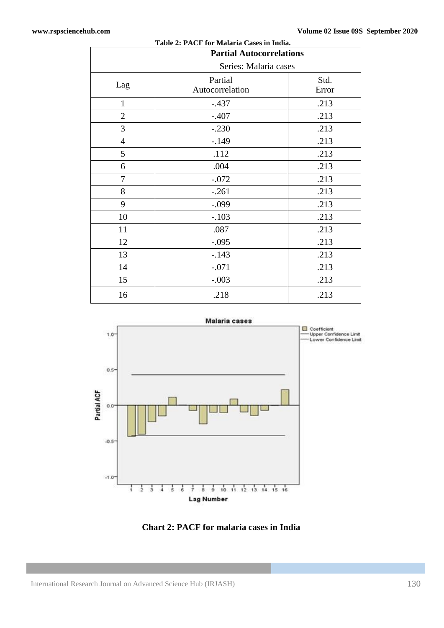| $1.0010 = 1.1101 101 1.00000 1.0000 1.00000$<br><b>Partial Autocorrelations</b> |                            |               |  |
|---------------------------------------------------------------------------------|----------------------------|---------------|--|
| Series: Malaria cases                                                           |                            |               |  |
| Lag                                                                             | Partial<br>Autocorrelation | Std.<br>Error |  |
| $\mathbf{1}$                                                                    | $-.437$                    | .213          |  |
| $\overline{2}$                                                                  | $-.407$                    | .213          |  |
| 3                                                                               | $-.230$                    | .213          |  |
| $\overline{4}$                                                                  | $-.149$                    | .213          |  |
| 5                                                                               | .112                       | .213          |  |
| 6                                                                               | .004                       | .213          |  |
| $\tau$                                                                          | $-.072$                    | .213          |  |
| 8                                                                               | $-.261$                    | .213          |  |
| 9                                                                               | $-.099$                    | .213          |  |
| 10                                                                              | $-.103$                    | .213          |  |
| 11                                                                              | .087                       | .213          |  |
| 12                                                                              | $-.095$                    | .213          |  |
| 13                                                                              | $-.143$                    | .213          |  |
| 14                                                                              | $-.071$                    | .213          |  |
| 15                                                                              | $-.003$                    | .213          |  |
| 16                                                                              | .218                       | .213          |  |

| Table 2: PACF for Malaria Cases in India. |  |
|-------------------------------------------|--|
|-------------------------------------------|--|



**Chart 2: PACF for malaria cases in India**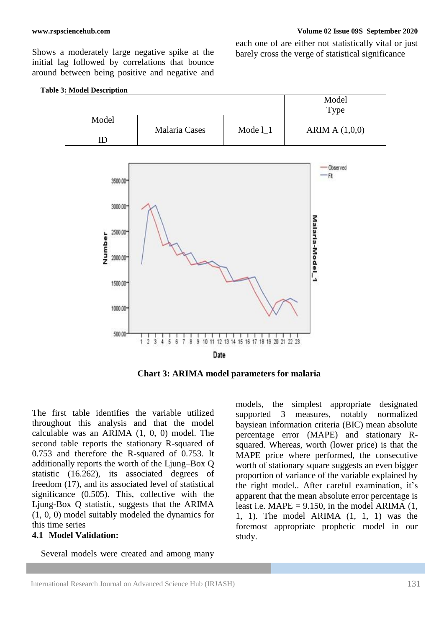Shows a moderately large negative spike at the initial lag followed by correlations that bounce around between being positive and negative and each one of are either not statistically vital or just barely cross the verge of statistical significance



**Chart 3: ARIMA model parameters for malaria**

The first table identifies the variable utilized throughout this analysis and that the model calculable was an ARIMA (1, 0, 0) model. The second table reports the stationary R-squared of 0.753 and therefore the R-squared of 0.753. It additionally reports the worth of the Ljung–Box Q statistic (16.262), its associated degrees of freedom (17), and its associated level of statistical significance (0.505). This, collective with the Ljung-Box Q statistic, suggests that the ARIMA (1, 0, 0) model suitably modeled the dynamics for this time series

#### **4.1 Model Validation:**

Several models were created and among many

models, the simplest appropriate designated supported 3 measures, notably normalized baysiean information criteria (BIC) mean absolute percentage error (MAPE) and stationary Rsquared. Whereas, worth (lower price) is that the MAPE price where performed, the consecutive worth of stationary square suggests an even bigger proportion of variance of the variable explained by the right model.. After careful examination, it's apparent that the mean absolute error percentage is least i.e. MAPE =  $9.150$ , in the model ARIMA  $(1,$ 1, 1). The model ARIMA (1, 1, 1) was the foremost appropriate prophetic model in our study.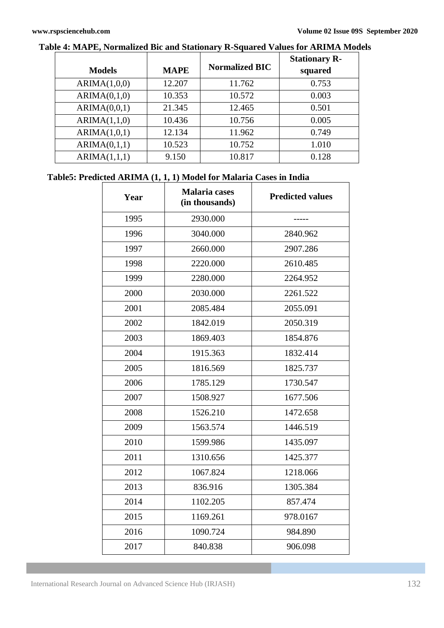| <b>Models</b> | <b>MAPE</b> | <b>Normalized BIC</b> | <b>Stationary R-</b><br>squared |
|---------------|-------------|-----------------------|---------------------------------|
| ARIMA(1,0,0)  | 12.207      | 11.762                | 0.753                           |
| ARIMA(0,1,0)  | 10.353      | 10.572                | 0.003                           |
| ARIMA(0,0,1)  | 21.345      | 12.465                | 0.501                           |
| ARIMA(1,1,0)  | 10.436      | 10.756                | 0.005                           |
| ARIMA(1,0,1)  | 12.134      | 11.962                | 0.749                           |
| ARIMA(0,1,1)  | 10.523      | 10.752                | 1.010                           |
| ARIMA(1,1,1)  | 9.150       | 10.817                | 0.128                           |

# **Table 4: MAPE, Normalized Bic and Stationary R-Squared Values for ARIMA Models**

# **Table5: Predicted ARIMA (1, 1, 1) Model for Malaria Cases in India**

| Year | <b>Malaria</b> cases<br>(in thousands) | <b>Predicted values</b> |  |
|------|----------------------------------------|-------------------------|--|
| 1995 | 2930.000                               |                         |  |
| 1996 | 3040.000                               | 2840.962                |  |
| 1997 | 2660.000                               | 2907.286                |  |
| 1998 | 2220.000                               | 2610.485                |  |
| 1999 | 2280.000                               | 2264.952                |  |
| 2000 | 2030.000                               | 2261.522                |  |
| 2001 | 2085.484                               | 2055.091                |  |
| 2002 | 1842.019                               | 2050.319                |  |
| 2003 | 1869.403                               | 1854.876                |  |
| 2004 | 1915.363                               | 1832.414                |  |
| 2005 | 1816.569                               | 1825.737                |  |
| 2006 | 1785.129                               | 1730.547                |  |
| 2007 | 1508.927                               | 1677.506                |  |
| 2008 | 1526.210                               | 1472.658                |  |
| 2009 | 1563.574                               | 1446.519                |  |
| 2010 | 1599.986                               | 1435.097                |  |
| 2011 | 1310.656                               | 1425.377                |  |
| 2012 | 1067.824                               | 1218.066                |  |
| 2013 | 836.916                                | 1305.384                |  |
| 2014 | 1102.205                               | 857.474                 |  |
| 2015 | 1169.261                               | 978.0167                |  |
| 2016 | 1090.724                               | 984.890                 |  |
| 2017 | 840.838                                | 906.098                 |  |